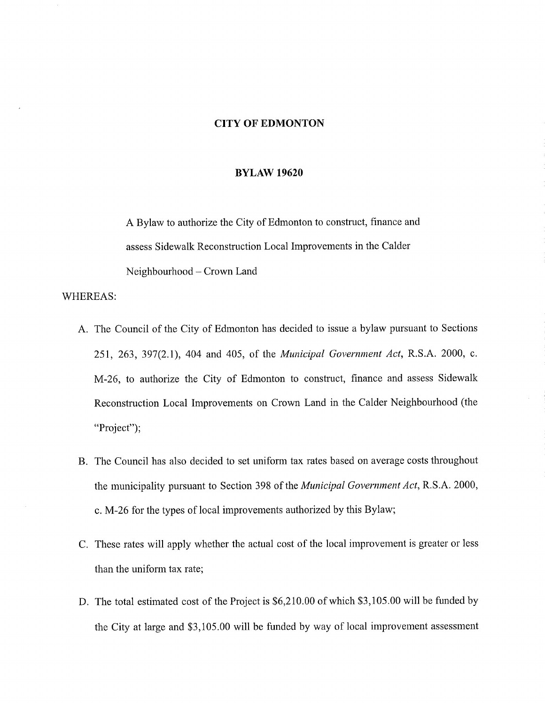## **CITY OF EDMONTON**

## **BYLAW 19620**

A Bylaw to authorize the City of Edmonton to construct, finance and assess Sidewalk Reconstruction Local Improvements in the Calder Neighbourhood — Crown Land

WHEREAS:

- A. The Council of the City of Edmonton has decided to issue a bylaw pursuant to Sections 251, 263, 397(2.1), 404 and 405, of the *Municipal Government Act,* R.S.A. 2000, c. M-26, to authorize the City of Edmonton to construct, finance and assess Sidewalk Reconstruction Local Improvements on Crown Land in the Calder Neighbourhood (the "Project");
- B. The Council has also decided to set uniform tax rates based on average costs throughout the municipality pursuant to Section 398 of the *Municipal Government Act,* R.S.A. 2000, c. M-26 for the types of local improvements authorized by this Bylaw;
- C. These rates will apply whether the actual cost of the local improvement is greater or less than the uniform tax rate;
- D. The total estimated cost of the Project is \$6,210.00 of which \$3,105.00 will be funded by the City at large and \$3,105.00 will be funded by way of local improvement assessment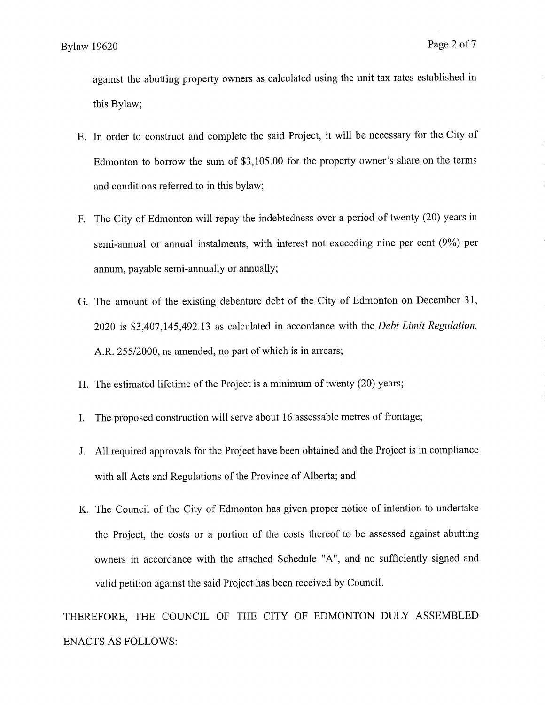against the abutting property owners as calculated using the unit tax rates established in this Bylaw;

- E. In order to construct and complete the said Project, it will be necessary for the City of Edmonton to borrow the sum of \$3,105.00 for the property owner's share on the terms and conditions referred to in this bylaw;
- F. The City of Edmonton will repay the indebtedness over a period of twenty (20) years in semi-annual or annual instalments, with interest not exceeding nine per cent (9%) per annum, payable semi-annually or annually;
- G. The amount of the existing debenture debt of the City of Edmonton on December 31, 2020 is \$3,407,145,492.13 as calculated in accordance with the *Debt Limit Regulation,*  A.R. 255/2000, as amended, no part of which is in arrears;
- H. The estimated lifetime of the Project is a minimum of twenty (20) years;
- I. The proposed construction will serve about 16 assessable metres of frontage;
- J. All required approvals for the Project have been obtained and the Project is in compliance with all Acts and Regulations of the Province of Alberta; and
- K. The Council of the City of Edmonton has given proper notice of intention to undertake the Project, the costs or a portion of the costs thereof to be assessed against abutting owners in accordance with the attached Schedule "A", and no sufficiently signed and valid petition against the said Project has been received by Council.

THEREFORE, THE COUNCIL OF THE CITY OF EDMONTON DULY ASSEMBLED ENACTS AS FOLLOWS: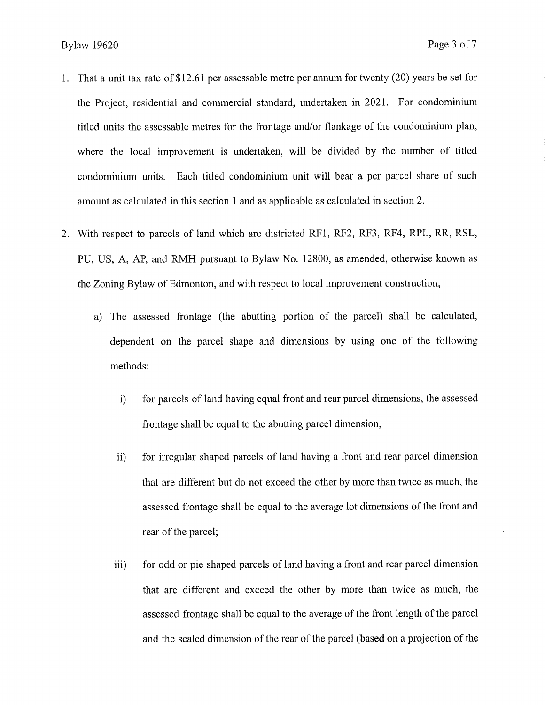- 1. That a unit tax rate of \$12.61 per assessable metre per annum for twenty (20) years be set for the Project, residential and commercial standard, undertaken in 2021. For condominium titled units the assessable metres for the frontage and/or flankage of the condominium plan, where the local improvement is undertaken, will be divided by the number of titled condominium units. Each titled condominium unit will bear a per parcel share of such amount as calculated in this section 1 and as applicable as calculated in section 2.
- 2. With respect to parcels of land which are districted RF1, RF2, RF3, RF4, RPL, RR, RSL, PU, US, A, AP, and RMH pursuant to Bylaw No. 12800, as amended, otherwise known as the Zoning Bylaw of Edmonton, and with respect to local improvement construction;
	- a) The assessed frontage (the abutting portion of the parcel) shall be calculated, dependent on the parcel shape and dimensions by using one of the following methods:
		- i) for parcels of land having equal front and rear parcel dimensions, the assessed frontage shall be equal to the abutting parcel dimension,
		- ii) for irregular shaped parcels of land having a front and rear parcel dimension that are different but do not exceed the other by more than twice as much, the assessed frontage shall be equal to the average lot dimensions of the front and rear of the parcel;
		- iii) for odd or pie shaped parcels of land having a front and rear parcel dimension that are different and exceed the other by more than twice as much, the assessed frontage shall be equal to the average of the front length of the parcel and the scaled dimension of the rear of the parcel (based on a projection of the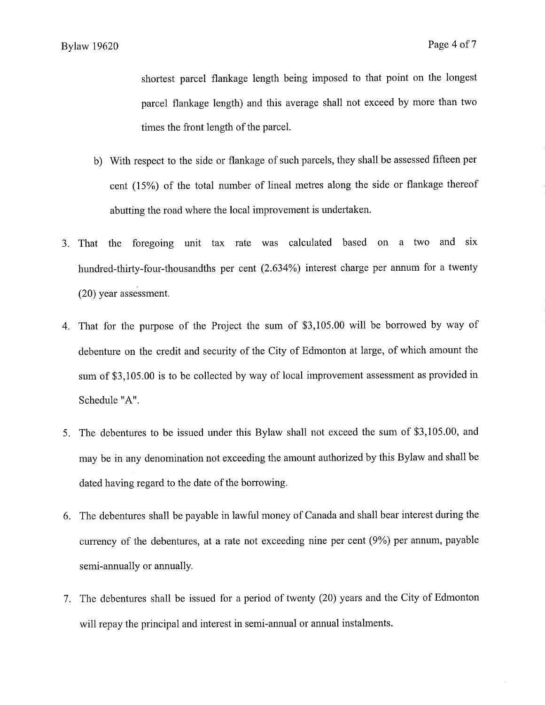shortest parcel flankage length being imposed to that point on the longest parcel flankage length) and this average shall not exceed by more than two times the front length of the parcel.

- b) With respect to the side or flankage of such parcels, they shall be assessed fifteen per cent (15%) of the total number of lineal metres along the side or flankage thereof abutting the road where the local improvement is undertaken.
- 3. That the foregoing unit tax rate was calculated based on a two and six hundred-thirty-four-thousandths per cent (2.634%) interest charge per annum for a twenty (20) year assessment.
- 4. That for the purpose of the Project the sum of \$3,105.00 will be borrowed by way of debenture on the credit and security of the City of Edmonton at large, of which amount the sum of \$3,105.00 is to be collected by way of local improvement assessment as provided in Schedule "A".
- 5. The debentures to be issued under this Bylaw shall not exceed the sum of \$3,105.00, and may be in any denomination not exceeding the amount authorized by this Bylaw and shall be dated having regard to the date of the borrowing.
- 6. The debentures shall be payable in lawful money of Canada and shall bear interest during the currency of the debentures, at a rate not exceeding nine per cent (9%) per annum, payable semi-annually or annually.
- 7. The debentures shall be issued for a period of twenty (20) years and the City of Edmonton will repay the principal and interest in semi-annual or annual instalments.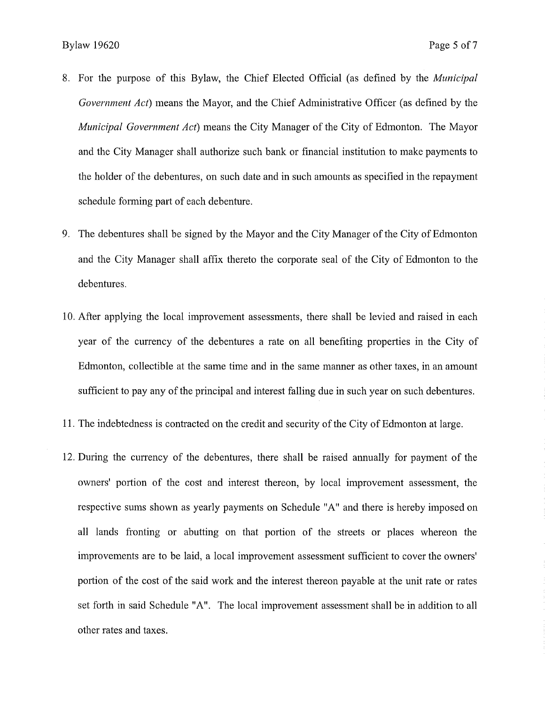- 8. For the purpose of this Bylaw, the Chief Elected Official (as defined by the *Municipal Government Act)* means the Mayor, and the Chief Administrative Officer (as defined by the *Municipal Government Act)* means the City Manager of the City of Edmonton. The Mayor and the City Manager shall authorize such bank or financial institution to make payments to the holder of the debentures, on such date and in such amounts as specified in the repayment schedule forming part of each debenture.
- 9. The debentures shall be signed by the Mayor and the City Manager of the City of Edmonton and the City Manager shall affix thereto the corporate seal of the City of Edmonton to the debentures.
- 10.After applying the local improvement assessments, there shall be levied and raised in each year of the currency of the debentures a rate on all benefiting properties in the City of Edmonton, collectible at the same time and in the same manner as other taxes, in an amount sufficient to pay any of the principal and interest falling due in such year on such debentures.
- 11.The indebtedness is contracted on the credit and security of the City of Edmonton at large.
- 12.During the currency of the debentures, there shall be raised annually for payment of the owners' portion of the cost and interest thereon, by local improvement assessment, the respective sums shown as yearly payments on Schedule "A" and there is hereby imposed on all lands fronting or abutting on that portion of the streets or places whereon the improvements are to be laid, a local improvement assessment sufficient to cover the owners' portion of the cost of the said work and the interest thereon payable at the unit rate or rates set forth in said Schedule "A". The local improvement assessment shall be in addition to all other rates and taxes.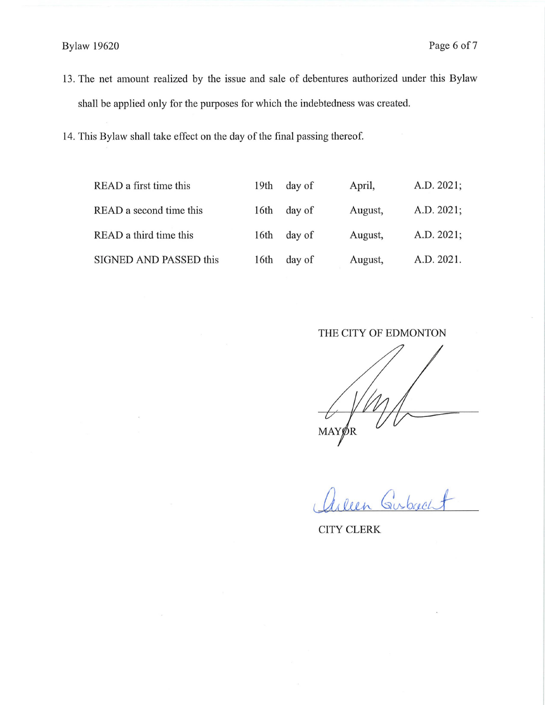- **13.The net amount realized by the issue and sale of debentures authorized under this Bylaw shall be applied only for the purposes for which the indebtedness was created.**
- 14.This Bylaw shall take effect on the day of the final passing thereof.

| READ a first time this  | 19th | day of | April,  | A.D. 2021; |
|-------------------------|------|--------|---------|------------|
| READ a second time this | 16th | day of | August, | A.D. 2021; |
| READ a third time this  | 16th | day of | August, | A.D. 2021; |
| SIGNED AND PASSED this  | 16th | day of | August, | A.D. 2021. |

## **THE CITY OF EDMONTON**

MAYØR

leen Gubrecht

**CITY CLERK**